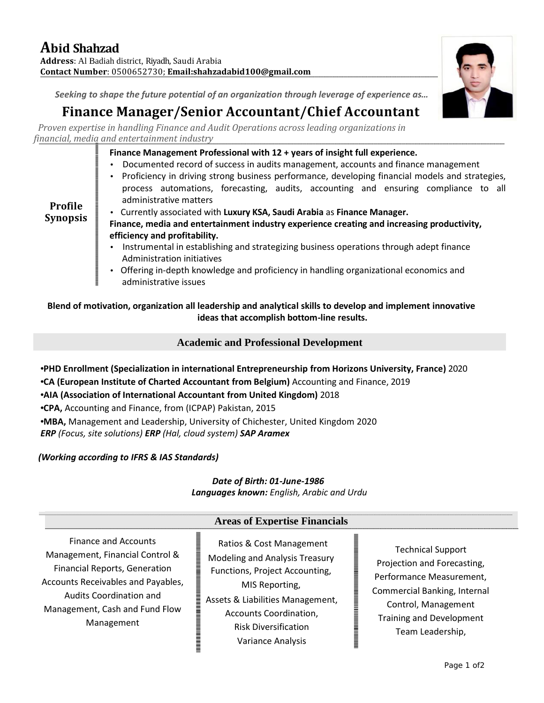

# *Seeking to shape the future potential of an organization through leverage of experience as…*

# **Finance Manager/Senior Accountant/Chief Accountant**

*Proven expertise in handling Finance and Audit Operations across leading organizations in financial, media and entertainment industry*

#### **Finance Management Professional with 12 + years of insight full experience.**

- Documented record of success in audits management, accounts and finance management
- Proficiency in driving strong business performance, developing financial models and strategies, process automations, forecasting, audits, accounting and ensuring compliance to all administrative matters

**Profile Synopsis**

- Currently associated with **Luxury KSA, Saudi Arabia** as **Finance Manager.**
- **Finance, media and entertainment industry experience creating and increasing productivity, efficiency and profitability.**
- Instrumental in establishing and strategizing business operations through adept finance Administration initiatives
- Offering in-depth knowledge and proficiency in handling organizational economics and administrative issues

**Blend of motivation, organization all leadership and analytical skills to develop and implement innovative ideas that accomplish bottom-line results.**

## **Academic and Professional Development**

- **PHD Enrollment (Specialization in international Entrepreneurship from Horizons University, France)** 2020
- **CA (European Institute of Charted Accountant from Belgium)** Accounting and Finance, 2019

**AIA (Association of International Accountant from United Kingdom)** 2018

- **CPA,** Accounting and Finance, from (ICPAP) Pakistan, 2015
- **MBA,** Management and Leadership, University of Chichester, United Kingdom 2020

*ERP (Focus, site solutions) ERP (Hal,cloud system) SAP Aramex*

#### *(Working according to IFRS & IAS Standards)*

# *Date of Birth: 01-June-1986*

*Languages known: English, Arabic and Urdu*

# **Areas of Expertise Financials**

Finance and Accounts Management, Financial Control & Financial Reports, Generation Accounts Receivables and Payables, Audits Coordination and Management, Cash and Fund Flow Management

Ratios & Cost Management Modeling and Analysis Treasury Functions, Project Accounting, MIS Reporting, Assets & Liabilities Management, Accounts Coordination, Risk Diversification Variance Analysis

Technical Support Projection and Forecasting, Performance Measurement, Commercial Banking, Internal Control, Management Training and Development Team Leadership,